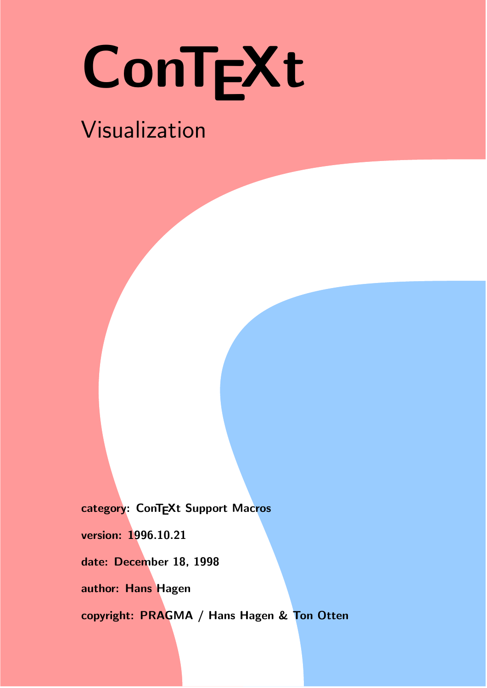# ConTEXt

## Visualization

category: ConTEXt Support Macros version: 1996.10.21 date: December 18, 1998 author: Hans Hagen copyright: PRAGMA / Hans Hagen & Ton Otten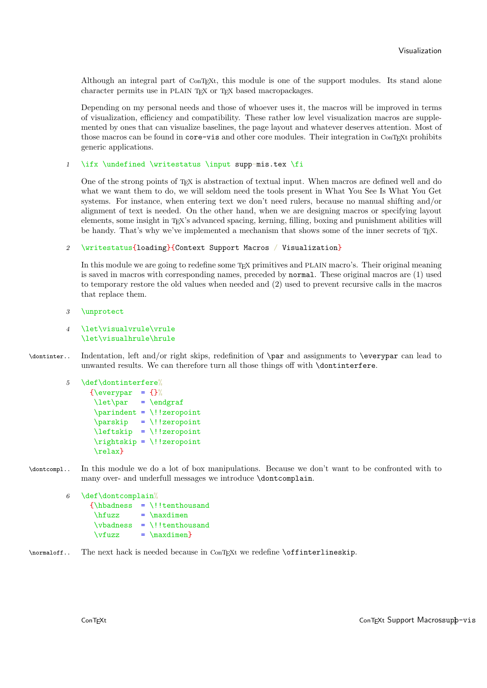<span id="page-1-0"></span>Although an integral part of ConTEXt, this module is one of the support modules. Its stand alone character permits use in PLAIN T<sub>EX</sub> or T<sub>EX</sub> based macropackages.

Depending on my personal needs and those of whoever uses it, the macros will be improved in terms of visualization, efficiency and compatibility. These rather low level visualization macros are supplemented by ones that can visualize baselines, the page layout and whatever deserves attention. Most of those macros can be found in core-vis and other core modules. Their integration in ConTEXt prohibits generic applications.

#### 1 \ifx \undefined \writestatus \input supp-mis.tex \fi

One of the strong points of T<sub>EX</sub> is abstraction of textual input. When macros are defined well and do what we want them to do, we will seldom need the tools present in What You See Is What You Get systems. For instance, when entering text we don't need rulers, because no manual shifting and/or alignment of text is needed. On the other hand, when we are designing macros or specifying layout elements, some insight in T<sub>E</sub>X's advanced spacing, kerning, filling, boxing and punishment abilities will be handy. That's why we've implemented a mechanism that shows some of the inner secrets of  $T_FX$ .

#### 2 \writestatus{loading}{Context Support Macros / Visualization}

In this module we are going to redefine some T<sub>EX</sub> primitives and PLAIN macro's. Their original meaning is saved in macros with corresponding names, preceded by normal. These original macros are (1) used to temporary restore the old values when needed and (2) used to prevent recursive calls in the macros that replace them.

3 \unprotect

#### 4 \let\visualvrule\vrule \let\visualhrule\hrule

\dontinter.. Indentation, left and/or right skips, redefinition of \par and assignments to \everypar can lead to unwanted results. We can therefore turn all those things off with \dontinterfere.

```
5 \def\dontinterfere%
```

```
{\everypar = {}\let\par = \endgraf
 \partial \parindent = \iota!!zeropoint
 \gamma = \lvert \cdot \rvert!zeropoint
 \leftskip = \!!zeropoint
 \rightskip = \!!zeropoint
 \relax}
```
\dontcompl.. In this module we do a lot of box manipulations. Because we don't want to be confronted with to many over- and underfull messages we introduce \dontcomplain.

```
6 \def\dontcomplain%
      {\hbox{\sf \`} } = \!!tenthousand
       \hbari = \maxdimen
        \varepsilon = \lvert \cdot \rvert!!tenthousand
        \forallrfuzz = \max\{imen\}
```
#### \normaloff.. The next hack is needed because in ConTEXt we redefine \offinterlineskip.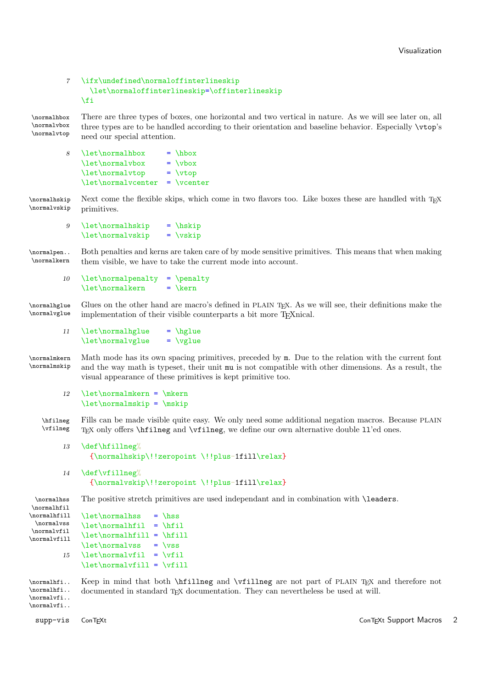#### <span id="page-2-0"></span>7 \ifx\undefined\normaloffinterlineskip \let\normaloffinterlineskip=\offinterlineskip \fi

\normalhbox There are three types of boxes, one horizontal and two vertical in nature. As we will see later on, all \normalvbox \normalvtop three types are to be handled according to their orientation and baseline behavior. Especially \vtop's need our special attention.

| 8 | \let\normalhbox    | $=$ \hbox       |
|---|--------------------|-----------------|
|   | \let\normalvbox    | $= \forall x$   |
|   | \let\normalvtop    | $= \sqrt{vtop}$ |
|   | \let\normalvcenter | $=$ \vcenter    |

\normalhskip Next come the flexible skips, which come in two flavors too. Like boxes these are handled with TEX<br>\normalvskip primitives primitives.

9  $\let\normal{\hspace{0.65cm}}$  = \hskip \let\normalvskip = \vskip

\normalpen.. Both penalties and kerns are taken care of by mode sensitive primitives. This means that when making \normalkern them visible, we have to take the current mode into account.

10 \let\normalpenalty = \penalty  $\let\normal{\text{normalkern}} = \ker$ 

\normalhglue Glues on the other hand are macro's defined in PLAIN T<sub>E</sub>X. As we will see, their definitions make the \normalyglue implementation of their visible counterparts a bit more TEX nical. implementation of their visible counterparts a bit more T<sub>E</sub>Xnical.

11 \let\normalhglue = \hglue  $\let\normal{\normalfont \newline} \qquad = \val$ 

\normalmkern Math mode has its own spacing primitives, preceded by m. Due to the relation with the current font \normalmskip and the way math is typeset, their unit mu is not compatible with other dimensions. As a result, the visual appearance of these primitives is kept primitive too.

12  $\let\normal{mken} = \mkern$ \let\normalmskip = \mskip

\hfilneg Fills can be made visible quite easy. We only need some additional negation macros. Because PLAIN \vfilneg T<sub>EX</sub> only offers \hfilneg and \vfilneg, we define our own alternative double 11'ed ones.

```
13 \def\hfillneg%
      {\normalhskip\!!zeropoint \!!plus-1fill\relax}
```
14 \def\vfillneg% {\normalvskip\!!zeropoint \!!plus-1fill\relax}

\normalhss The positive stretch primitives are used independant and in combination with \leaders.

```
\normalhfil
\normalhfill
  \normalvss
\normalvfil
\normalvfill
                  \let\normal{\normalfont\hspace{.05cm}\text{.}} = \hss
                  \let\normal{\min\{i\}} = \left\{ \right.\let\normal{\ref{ill} = \h{fill}\let\normalvss = \vss
           15 \let\normalvfil = \vfil
                  \let\normal{\normalfont \{refil\}} = \relax\rel{\relax}{\text{ifil}}
```
\normalhfi.. Keep in mind that both \hfillneg and \vfillneg are not part of PLAIN TEX and therefore not \normalhfi.. \normalvfi.. \normalvfi.. documented in standard  $T_{EX}$  documentation. They can nevertheless be used at will.

supp-vis ConTEXt ConTEXt Support Macros 2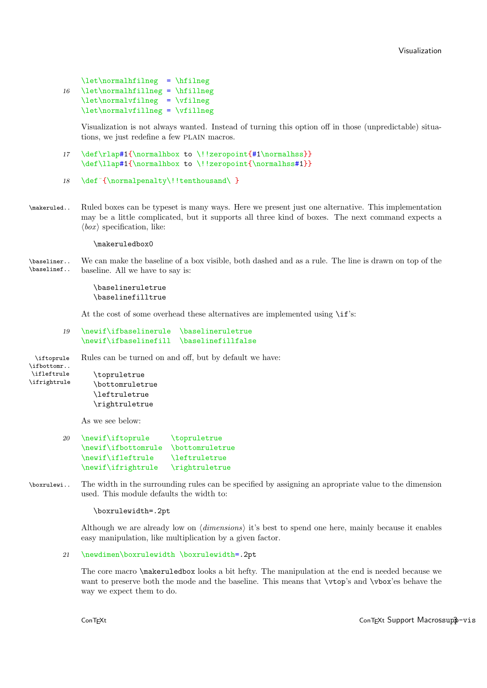<span id="page-3-0"></span>\let\normalhfilneg = \hfilneg 16 \let\normalhfillneg = \hfillneg  $\let\normal{\refline{\} = \vfline{ \}$ \let\normalvfillneg = \vfillneg

> Visualization is not always wanted. Instead of turning this option off in those (unpredictable) situations, we just redefine a few PLAIN macros.

```
17 \def\rlap#1{\normalhbox to \!!zeropoint{#1\normalhss}}
    \def\llap#1{\normalhbox to \!!zeropoint{\normalhss#1}}
```

```
18 \def<sup>~</sup>{\normalpenalty\!!tenthousand\ }
```
\makeruled.. Ruled boxes can be typeset is many ways. Here we present just one alternative. This implementation may be a little complicated, but it supports all three kind of boxes. The next command expects a  $\langle box \rangle$  specification, like:

#### \makeruledbox0

\baseliner.. We can make the baseline of a box visible, both dashed and as a rule. The line is drawn on top of the \baselinef.. baseline. All we have to say is:

> \baselineruletrue \baselinefilltrue

At the cost of some overhead these alternatives are implemented using  $\i{if}$ 's:

#### 19 \newif\ifbaselinerule \baselineruletrue \newif\ifbaselinefill \baselinefillfalse

\iftoprule Rules can be turned on and off, but by default we have:

```
\ifbottomr..
\ifleftrule
\ifrightrule
```
\topruletrue \bottomruletrue \leftruletrue \rightruletrue

As we see below:

| 20 | \newif\iftoprule    | \topruletrue                  |
|----|---------------------|-------------------------------|
|    | \newif\ifbottomrule | <i><b>\bottomruletrue</b></i> |
|    | \newif\ifleftrule   | <i><b>Neftruletrue</b></i>    |
|    | \newif\ifrightrule  | \rightruletrue                |

\boxrulewi.. The width in the surrounding rules can be specified by assigning an apropriate value to the dimension used. This module defaults the width to:

\boxrulewidth=.2pt

Although we are already low on  $\langle dimensions\rangle$  it's best to spend one here, mainly because it enables easy manipulation, like multiplication by a given factor.

```
21 \newdimen\boxrulewidth \boxrulewidth=.2pt
```
The core macro \makeruledbox looks a bit hefty. The manipulation at the end is needed because we want to preserve both the mode and the baseline. This means that  $\v{top's}$  and  $\v{tox'es}$  behave the way we expect them to do.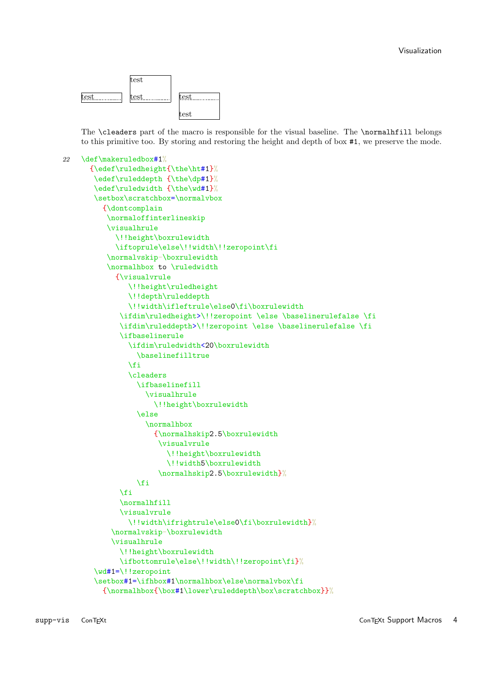

The \cleaders part of the macro is responsible for the visual baseline. The \normalhfill belongs to this primitive too. By storing and restoring the height and depth of box #1, we preserve the mode.

```
22 \def\makeruledbox#1%
      {\edef\ruledheight{\the\ht#1}%
       \edef\ruleddepth {\the\dp#1}%
       \edef\ruledwidth {\the\wd#1}%
       \setbox\scratchbox=\normalvbox
         {\dontcomplain
          \normaloffinterlineskip
          \visualhrule
            \!!height\boxrulewidth
            \iftoprule\else\!!width\!!zeropoint\fi
          \normalvskip-\boxrulewidth
          \normalhbox to \ruledwidth
            {\visualvrule
               \!!height\ruledheight
               \!!depth\ruleddepth
               \!!width\ifleftrule\else0\fi\boxrulewidth
             \ifdim\ruledheight>\!!zeropoint \else \baselinerulefalse \fi
             \ifdim\ruleddepth>\!!zeropoint \else \baselinerulefalse \fi
             \ifbaselinerule
               \ifdim\ruledwidth<20\boxrulewidth
                 \baselinefilltrue
               \fi
               \cleaders
                 \ifbaselinefill
                    \visualhrule
                      \!!height\boxrulewidth
                 \else
                   \normalhbox
                      {\normalhskip2.5\boxrulewidth
                      \visualvrule
                         \!!height\boxrulewidth
                         \!!width5\boxrulewidth
                       \normalhskip2.5\boxrulewidth}%
                 \chifi
             \fi
             \normalhfill
             \visualvrule
               \!!width\ifrightrule\else0\fi\boxrulewidth}%
           \normalvskip-\boxrulewidth
           \visualhrule
             \!!height\boxrulewidth
             \ifbottomrule\else\!!width\!!zeropoint\fi}%
       \wd#1=\!!zeropoint
       \setbox#1=\ifhbox#1\normalhbox\else\normalvbox\fi
         {\normalhbox{\box#1\lower\ruleddepth\box\scratchbox}}%
```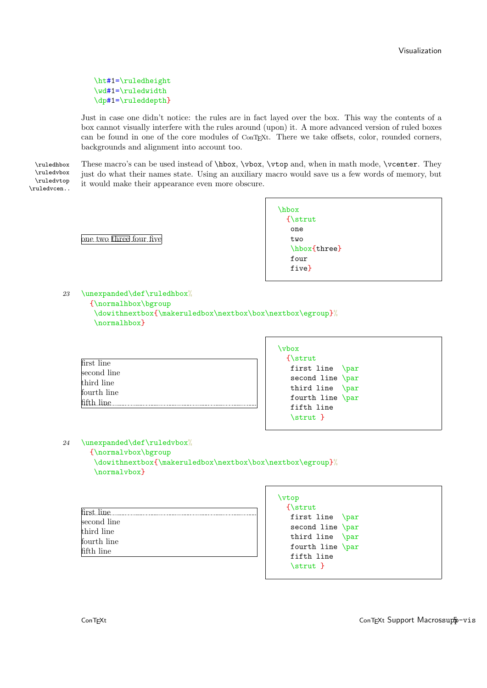<span id="page-5-0"></span>\ht#1=\ruledheight \wd#1=\ruledwidth \dp#1=\ruleddepth}

Just in case one didn't notice: the rules are in fact layed over the box. This way the contents of a box cannot visually interfere with the rules around (upon) it. A more advanced version of ruled boxes can be found in one of the core modules of ConTEXt. There we take offsets, color, rounded corners, backgrounds and alignment into account too.

\ruledvbox \ruledvtop \ruledvcen..

\ruledhbox These macro's can be used instead of \hbox, \vbox, \vtop and, when in math mode, \vcenter. They just do what their names state. Using an auxiliary macro would save us a few words of memory, but it would make their appearance even more obscure.

one two three four five

| hbox               |  |
|--------------------|--|
| $\left\{ \right\}$ |  |
| one                |  |
| two                |  |
| \hbox{three}       |  |
| four               |  |
| five               |  |
|                    |  |

23 \unexpanded\def\ruledhbox%

{\normalhbox\bgroup

\dowithnextbox{\makeruledbox\nextbox\box\nextbox\egroup}% \normalhbox}

| first line  |  |
|-------------|--|
| second line |  |
| third line  |  |
| fourth line |  |
| fifth line  |  |
|             |  |

| first line \par  |  |
|------------------|--|
| second line \par |  |
| third line \par  |  |
| fourth line \par |  |
|                  |  |
|                  |  |
|                  |  |

 $\bar{\ }$ 

24 \unexpanded\def\ruledvbox%

{\normalvbox\bgroup

\dowithnextbox{\makeruledbox\nextbox\box\nextbox\egroup}% \normalvbox}

| first line  | . |  |
|-------------|---|--|
| second line |   |  |
| third line  |   |  |
| fourth line |   |  |
| fifth line  |   |  |
|             |   |  |

| \vtop              |  |
|--------------------|--|
| $\left\{ \right\}$ |  |
| first line \par    |  |
| second line \par   |  |
| third line \par    |  |
| fourth line \par   |  |
| fifth line         |  |
| $\text{strut}$     |  |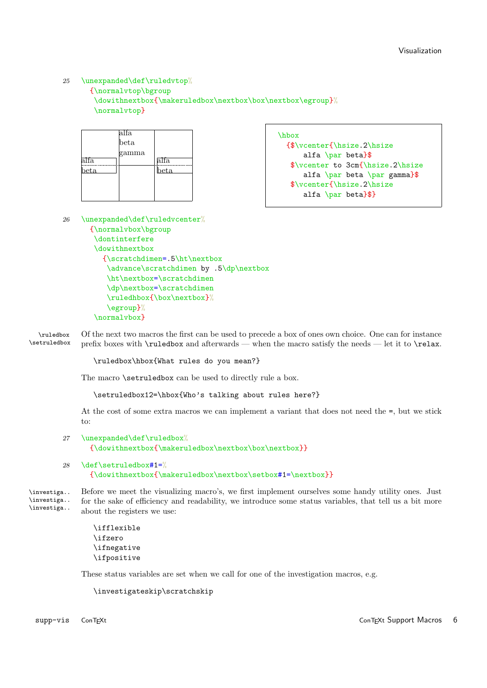#### <span id="page-6-0"></span>25 \unexpanded\def\ruledvtop%

{\normalvtop\bgroup

```
\dowithnextbox{\makeruledbox\nextbox\box\nextbox\egroup}%
\normalvtop}
```

|      | alfa  |      |
|------|-------|------|
|      | beta  |      |
|      | gamma |      |
| alfa |       | alfa |
| eta. |       | beta |
|      |       |      |
|      |       |      |
|      |       |      |

\hbox {\$\vcenter{\hsize.2\hsize alfa \par beta}\$ \$\vcenter to 3cm{\hsize.2\hsize alfa \par beta \par gamma}\$ \$\vcenter{\hsize.2\hsize alfa  $\parrow$  beta}\$}

26 \unexpanded\def\ruledvcenter% {\normalvbox\bgroup \dontinterfere

```
\dowithnextbox
  {\scratchdimen=.5\ht\nextbox
   \advance\scratchdimen by .5\dp\nextbox
  \ht\nextbox=\scratchdimen
  \dp\nextbox=\scratchdimen
   \ruledhbox{\box\nextbox}%
   \egroup}%
\normalvbox}
```
\ruledbox Of the next two macros the first can be used to precede a box of ones own choice. One can for instance \setruledbox prefix boxes with \ruledbox and afterwards — when the macro satisfy the needs — let it to \relax.

\ruledbox\hbox{What rules do you mean?}

The macro **\setruledbox** can be used to directly rule a box.

\setruledbox12=\hbox{Who's talking about rules here?}

At the cost of some extra macros we can implement a variant that does not need the =, but we stick to:

```
27 \unexpanded\def\ruledbox%
      {\dowithnextbox{\makeruledbox\nextbox\box\nextbox}}
```

```
28 \def\setruledbox#1=%
      {\dowithnextbox{\makeruledbox\nextbox\setbox#1=\nextbox}}
```
\investiga.. Before we meet the visualizing macro's, we first implement ourselves some handy utility ones. Just \investiga.. \investiga.. for the sake of efficiency and readability, we introduce some status variables, that tell us a bit more about the registers we use:

```
\ifflexible
\ifzero
\ifnegative
\ifpositive
```
These status variables are set when we call for one of the investigation macros, e.g.

```
\investigateskip\scratchskip
```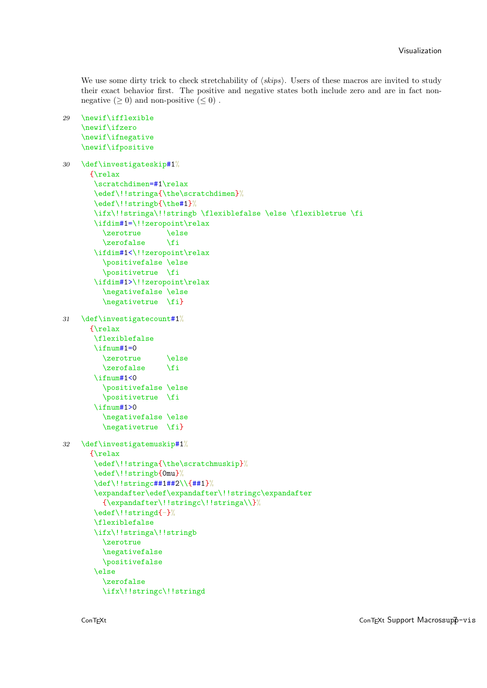We use some dirty trick to check stretchability of  $\langle skips \rangle$ . Users of these macros are invited to study their exact behavior first. The positive and negative states both include zero and are in fact nonnegative  $(\geq 0)$  and non-positive  $(\leq 0)$ .

```
29 \newif\ifflexible
    \newif\ifzero
    \newif\ifnegative
    \newif\ifpositive
30 \def\investigateskip#1%
      {\relax
       \scratchdimen=#1\relax
       \edef\!!stringa{\the\scratchdimen}%
       \edef\!!stringb{\the#1}%
       \ifx\!!stringa\!!stringb \flexiblefalse \else \flexibletrue \fi
       \ifdim#1=\!!zeropoint\relax
         \zerotrue \else
         \zerofalse \fi
       \ifdim#1<\!!zeropoint\relax
         \positivefalse \else
         \positivetrue \fi
       \ifdim#1>\!!zeropoint\relax
         \negativefalse \else
         \negativetrue \fi}
31 \def\investigatecount#1%
      {\relax
       \flexiblefalse
       \iintnum#1=0\label{eq:zercr} $$ \zercrctrue \le \zccrds\zetazerofalse
       \ifnum#1<0
         \positivefalse \else
         \positivetrue \fi
       \iintnum#1>0\negativefalse \else
         \negativetrue \fi}
32 \def\investigatemuskip#1%
      {\relax
       \edef\!!stringa{\the\scratchmuskip}%
       \edef\!!stringb{0mu}%
       \def\!!stringc##1##2\\{##1}%
       \expandafter\edef\expandafter\!!stringc\expandafter
         {\expandafter\!!stringc\!!stringa\\}%
       \edef\!!stringd{-}%
       \flexiblefalse
       \ifx\!!stringa\!!stringb
         \zerotrue
         \negativefalse
         \positivefalse
       \else
         \zerofalse
         \ifx\!!stringc\!!stringd
```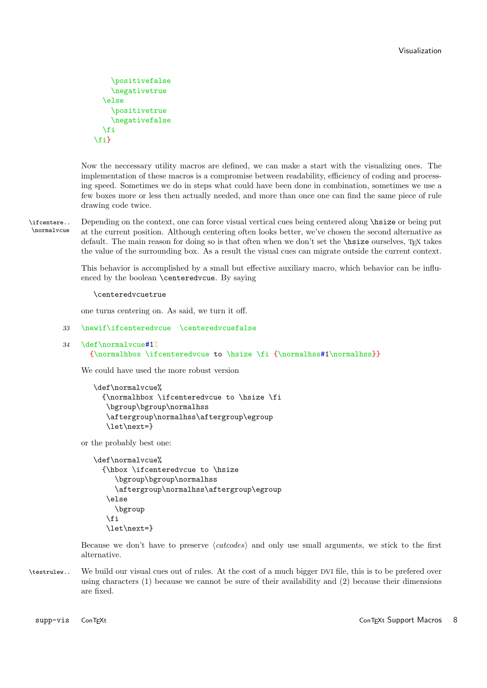```
\positivefalse
    \negativetrue
  \else
     \positivetrue
    \negativefalse
  \chi_{\text{fi}}\fi}
```
Now the neccessary utility macros are defined, we can make a start with the visualizing ones. The implementation of these macros is a compromise between readability, efficiency of coding and processing speed. Sometimes we do in steps what could have been done in combination, sometimes we use a few boxes more or less then actually needed, and more than once one can find the same piece of rule drawing code twice.

\ifcentere.. Depending on the context, one can force visual vertical cues being centered along \hsize or being put<br>Normalycue at the current position. Although centering often looks better, we've chosen the second elternat at the current position. Although centering often looks better, we've chosen the second alternative as default. The main reason for doing so is that often when we don't set the  $\hbar$  size ourselves, TEX takes the value of the surrounding box. As a result the visual cues can migrate outside the current context.

> This behavior is accomplished by a small but effective auxiliary macro, which behavior can be influenced by the boolean \centeredvcue. By saying

\centeredvcuetrue

one turns centering on. As said, we turn it off.

```
33 \newif\ifcenteredvcue \centeredvcuefalse
```

```
34 \def\normalvcue#1%
      {\normalhbox \ifcenteredvcue to \hsize \fi {\normalhss#1\normalhss}}
```
We could have used the more robust version

```
\def\normalvcue%
  {\normalhbox \ifcenteredvcue to \hsize \fi
   \bgroup\bgroup\normalhss
   \aftergroup\normalhss\aftergroup\egroup
   \let\next=}
```
or the probably best one:

```
\def\normalvcue%
  {\hbox \ifcenteredvcue to \hsize
     \bgroup\bgroup\normalhss
     \aftergroup\normalhss\aftergroup\egroup
   \else
     \bgroup
   \fi
   \let\next=}
```
Because we don't have to preserve  $\langle \textit{catcodes} \rangle$  and only use small arguments, we stick to the first alternative.

\testrulew.. We build our visual cues out of rules. At the cost of a much bigger DVI file, this is to be prefered over using characters (1) because we cannot be sure of their availability and (2) because their dimensions are fixed.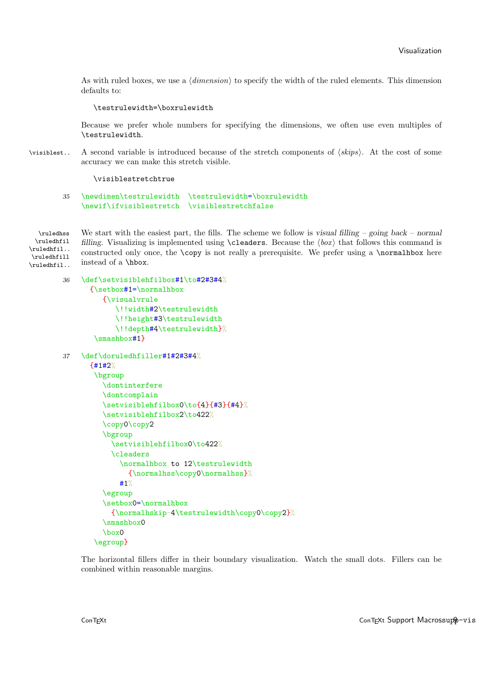<span id="page-9-0"></span>As with ruled boxes, we use a  $\langle dimension \rangle$  to specify the width of the ruled elements. This dimension defaults to:

#### \testrulewidth=\boxrulewidth

Because we prefer whole numbers for specifying the dimensions, we often use even multiples of \testrulewidth.

 $\forall$ isiblest.. A second variable is introduced because of the stretch components of  $\langle$ skips $\rangle$ . At the cost of some accuracy we can make this stretch visible.

#### \visiblestretchtrue

#### 35 \newdimen\testrulewidth \testrulewidth=\boxrulewidth \newif\ifvisiblestretch \visiblestretchfalse

\ruledhfil \ruledhfil.. \ruledhfill \ruledhfil..

 $\lvert$  and  $\lvert$  we start with the easiest part, the fills. The scheme we follow is visual filling – going back – normal filling. Visualizing is implemented using \cleaders. Because the  $\langle box \rangle$  that follows this command is constructed only once, the **\copy** is not really a prerequisite. We prefer using a **\normalhbox** here instead of a \hbox.

```
36 \def\setvisiblehfilbox#1\to#2#3#4%
      {\setbox#1=\normalhbox
         {\visualvrule
            \!!width#2\testrulewidth
            \!!height#3\testrulewidth
            \!!depth#4\testrulewidth}%
       \smashbox#1}
37 \def\doruledhfiller#1#2#3#4%
      {#1#2%
       \bgroup
         \dontinterfere
         \dontcomplain
         \setvisiblehfilbox0\to{4}{#3}{#4}%
         \setvisiblehfilbox2\to422%
         \copy0\copy2
         \bgroup
           \setvisiblehfilbox0\to422%
           \cleaders
              \normalhbox to 12\testrulewidth
                {\normalhss\copy0\normalhss}%
             #1%
         \egroup
         \setbox0=\normalhbox
           {\normalhskip-4\testrulewidth\copy0\copy2}%
         \smashbox0
         \box0
       \egroup}
```
The horizontal fillers differ in their boundary visualization. Watch the small dots. Fillers can be combined within reasonable margins.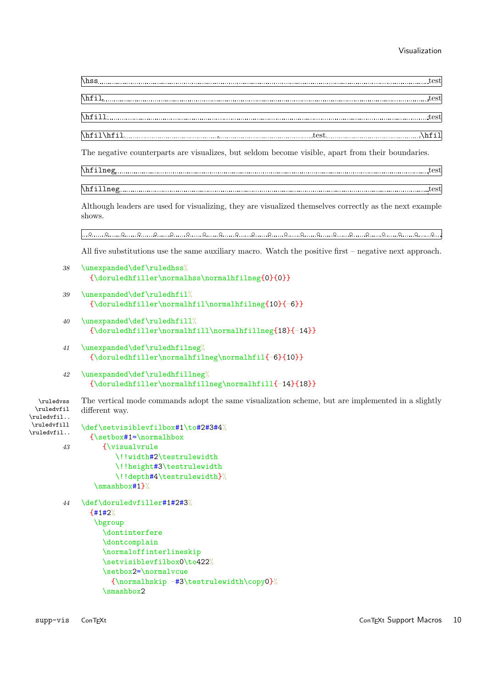<span id="page-10-0"></span>\hss test

\hfil test

\hfill test

\hfil\hfil test \hfil

The negative counterparts are visualizes, but seldom become visible, apart from their boundaries.

\hfilneg test

\hfillneg test

Although leaders are used for visualizing, they are visualized themselves correctly as the next example shows.

◦ ◦ ◦ ◦ ◦ ◦ ◦ ◦ ◦ ◦ ◦ ◦ ◦ ◦ ◦ ◦ ◦ ◦ ◦ ◦ ◦ ◦

All five substitutions use the same auxiliary macro. Watch the positive first – negative next approach.

```
38 \unexpanded\def\ruledhss%
      {\doruledhfiller\normalhss\normalhfilneg{0}{0}}
```

```
39 \unexpanded\def\ruledhfil%
      {\doruledhfiller\normalhfil\normalhfilneg{10}{-6}}
```
- 40 \unexpanded\def\ruledhfill% {\doruledhfiller\normalhfill\normalhfillneg{18}{-14}}
- 41 \unexpanded\def\ruledhfilneg% {\doruledhfiller\normalhfilneg\normalhfil{-6}{10}}
- 42 \unexpanded\def\ruledhfillneg% {\doruledhfiller\normalhfillneg\normalhfill{-14}{18}}

\ruledvss The vertical mode commands adopt the same visualization scheme, but are implemented in a slightly \ruledvfil \ruledvfil.. different way.

```
\ruledvfill
\ruledvfil..
            \def\setvisiblevfilbox#1\to#2#3#4%
              {\setbox#1=\normalhbox
       43 {\visualvrule
                    \!!width#2\testrulewidth
                    \!!height#3\testrulewidth
                    \!!depth#4\testrulewidth}%
               \smashbox#1}%
       44 \def\doruledvfiller#1#2#3%
              {#1#2%
```

```
\bgroup
  \dontinterfere
  \dontcomplain
  \normaloffinterlineskip
  \setvisiblevfilbox0\to422%
  \setbox2=\normalvcue
    {\normalhskip -#3\testrulewidth\copy0}%
  \smashbox2
```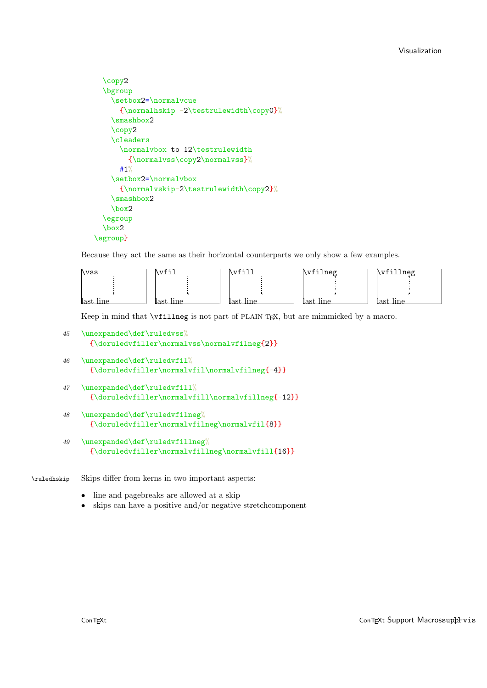```
\copy2
  \bgroup
    \setbox2=\normalvcue
     {\normalhskip -2\testrulewidth\copy0}%
    \smashbox2
    \copy2
    \cleaders
      \normalvbox to 12\testrulewidth
        {\normalvss\copy2\normalvss}%
     #1%
    \setbox2=\normalvbox
      {\normalvskip-2\testrulewidth\copy2}%
    \smashbox2
    \box2
  \egroup
  \box2
\egroup}
```
Because they act the same as their horizontal counterparts we only show a few examples.

| \vss      | $\sqrt{1 + \epsilon^2}$ |           | \vfilneg  | \vfillneg    |
|-----------|-------------------------|-----------|-----------|--------------|
|           |                         |           |           |              |
|           |                         |           |           |              |
| last line | last line               | last line | last line | line<br>n et |

Keep in mind that **\vfillneg** is not part of PLAIN TEX, but are mimmicked by a macro.

```
45 \unexpanded\def\ruledvss%
      {\doruledvfiller\normalvss\normalvfilneg{2}}
```

```
46 \unexpanded\def\ruledvfil<sup>%</sup>
       {\doruledvfiller\normalvfil\normalvfilneg{-4}}
```

```
47 \unexpanded\def\ruledvfill%
      {\doruledvfiller\normalvfill\normalvfillneg{-12}}
```

```
48 \unexpanded\def\ruledvfilneg%
      {\doruledvfiller\normalvfilneg\normalvfil{8}}
```

```
49 \unexpanded\def\ruledvfillneg%
      {\doruledvfiller\normalvfillneg\normalvfill{16}}
```
\ruledhskip Skips differ from kerns in two important aspects:

- line and pagebreaks are allowed at a skip
- skips can have a positive and/or negative stretchcomponent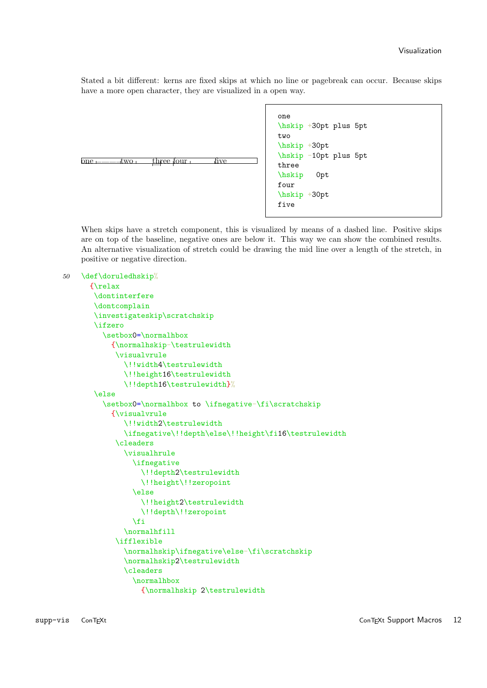Stated a bit different: kerns are fixed skips at which no line or pagebreak can occur. Because skips have a more open character, they are visualized in a open way.



When skips have a stretch component, this is visualized by means of a dashed line. Positive skips are on top of the baseline, negative ones are below it. This way we can show the combined results. An alternative visualization of stretch could be drawing the mid line over a length of the stretch, in positive or negative direction.

```
50 \def\doruledhskip%
```

```
{\relax
 \dontinterfere
 \dontcomplain
 \investigateskip\scratchskip
 \ifzero
   \setbox0=\normalhbox
     {\normalhskip-\testrulewidth
      \visualvrule
        \!!width4\testrulewidth
        \!!height16\testrulewidth
        \!!depth16\testrulewidth}%
 \else
   \setbox0=\normalhbox to \ifnegative-\fi\scratchskip
     {\visualvrule
        \!!width2\testrulewidth
        \ifnegative\!!depth\else\!!height\fi16\testrulewidth
      \cleaders
        \visualhrule
          \ifnegative
            \!!depth2\testrulewidth
            \!!height\!!zeropoint
          \else
            \!!height2\testrulewidth
            \!!depth\!!zeropoint
          \fi
        \normalhfill
      \ifflexible
        \normalhskip\ifnegative\else-\fi\scratchskip
        \normalhskip2\testrulewidth
        \cleaders
          \normalhbox
            {\normalhskip 2\testrulewidth
```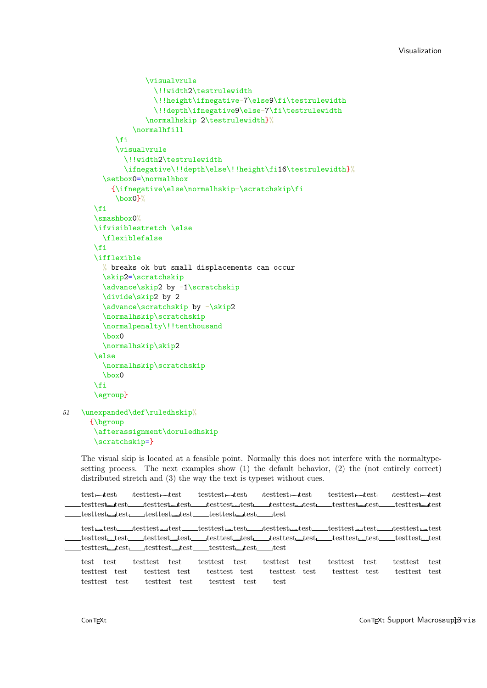#### Visualization

```
\visualvrule
              \!!width2\testrulewidth
              \!!height\ifnegative-7\else9\fi\testrulewidth
              \!!depth\ifnegative9\else-7\fi\testrulewidth
            \normalhskip 2\testrulewidth}%
         \normalhfill
     \fi
     \visualvrule
       \!!width2\testrulewidth
       \ifnegative\!!depth\else\!!height\fi16\testrulewidth}%
  \setbox0=\normalhbox
    {\ifnegative\else\normalhskip-\scratchskip\fi
     \box0}%
\fi
\smashbox0%
\ifvisiblestretch \else
  \flexiblefalse
\chi_{\text{fi}}\ifflexible
 % breaks ok but small displacements can occur
 \skip2=\scratchskip
  \advance\skip2 by -1\scratchskip
  \divide\skip2 by 2
  \advance\scratchskip by -\skip2
  \normalhskip\scratchskip
  \normalpenalty\!!tenthousand
  \box0
  \normalhskip\skip2
\else
  \normalhskip\scratchskip
  \box0
\fi
\egroup}
```

```
51 \unexpanded\def\ruledhskip%
```

```
{\bgroup
 \afterassignment\doruledhskip
 \scratchskip=}
```
The visual skip is located at a feasible point. Normally this does not interfere with the normaltypesetting process. The next examples show (1) the default behavior, (2) the (not entirely correct) distributed stretch and (3) the way the text is typeset without cues.

 $\textit{test} \textit{\underline{\textbf{u}}}\textit{test} \textit{test} \textit{test} \textit{test} \textit{test} \textit{test} \textit{test} \textit{test} \textit{test} \textit{test} \textit{test} \textit{test} \textit{test} \textit{test} \textit{test} \textit{test} \textit{test} \textit{test} \textit{test} \textit{test} \textit{test} \textit{test} \textit{test} \textit{test} \textit{test} \textit{test} \textit{test} \textit{test} \textit{test} \textit{test} \textit{test} \textit{test} \textit{test} \textit{test$ testtest test testtest test testtest test testtest test testtest test testtest test  $\begin{tabular}{c} \textbf{\texttt{m}}\textbf{t} \textbf{e} \textbf{t} \textbf{t} \textbf{e} \textbf{t} \textbf{t} \textbf{e} \textbf{t} \textbf{t} \textbf{e} \textbf{t} \textbf{t} \textbf{e} \textbf{t} \textbf{t} \textbf{e} \textbf{t} \textbf{t} \textbf{e} \textbf{t} \textbf{t} \textbf{e} \textbf{t} \textbf{t} \textbf{e} \textbf{t} \textbf{t} \textbf{e} \textbf{t} \textbf{t} \textbf{e} \textbf{t} \textbf{t$ 

```
\textit{test} \textit{\underline{\hspace{1cm} \textbf{test}}} \textit{test} \textit{\underline{\hspace{1cm} \textbf{test}}}\textit{test} \textit{\underline{\hspace{1cm} \textbf{test}}}\textit{test} \textit{test} \textit{test} \textit{test} \textit{test} \textit{test} \textit{test} \textit{test} \textit{test} \textit{test} \textit{test} \textit{test} \textit{test} \textit{test} \textit{test} \textit{test} \textit{test} \textit{test} \textit{test} \textit{test} \textit{test} \textit{test} \textit{test} \textit{test} \textit{testtest test testtest test testtest test testtest test testtest test testtest test
testtest test testtest test testtest test test
```
test test testtest test testtest test testtest test testtest test testtest test testtest test testtest test testtest test testtest test testtest test testtest test testtest test testtest test testtest test test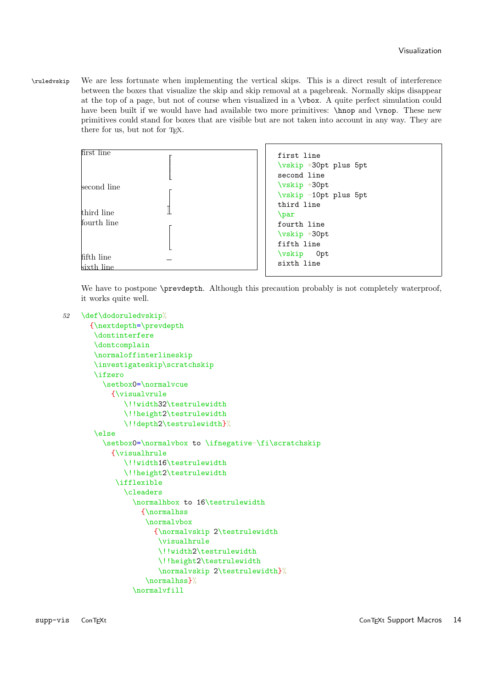<span id="page-14-0"></span>\ruledvskip We are less fortunate when implementing the vertical skips. This is a direct result of interference between the boxes that visualize the skip and skip removal at a pagebreak. Normally skips disappear at the top of a page, but not of course when visualized in a \vbox. A quite perfect simulation could have been built if we would have had available two more primitives: \hnop and \vnop. These new primitives could stand for boxes that are visible but are not taken into account in any way. They are there for us, but not for T<sub>E</sub>X.



We have to postpone \prevdepth. Although this precaution probably is not completely waterproof, it works quite well.

```
52 \def\dodoruledvskip%
```

```
{\nextdepth=\prevdepth
 \dontinterfere
 \dontcomplain
 \normaloffinterlineskip
 \investigateskip\scratchskip
 \ifzero
   \setbox0=\normalvcue
     {\visualvrule
        \!!width32\testrulewidth
        \!!height2\testrulewidth
        \!!depth2\testrulewidth}%
 \else
   \setbox0=\normalvbox to \ifnegative-\fi\scratchskip
     {\visualhrule
        \!!width16\testrulewidth
        \!!height2\testrulewidth
      \ifflexible
        \cleaders
          \normalhbox to 16\testrulewidth
            {\normalhss
             \normalvbox
               {\normalvskip 2\testrulewidth
                \visualhrule
                \!!width2\testrulewidth
                \!!height2\testrulewidth
                \normalvskip 2\testrulewidth}%
             \normalhss}%
          \normalvfill
```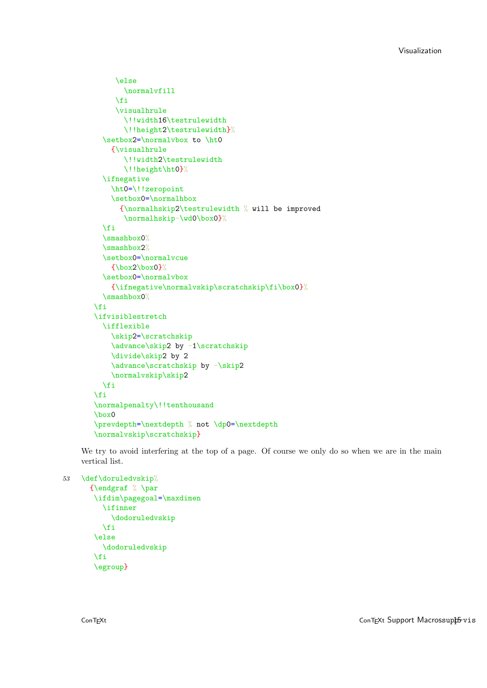```
\else
       \normalvfill
     \chifi
     \visualhrule
       \!!width16\testrulewidth
       \!!height2\testrulewidth}%
  \setbox2=\normalvbox to \ht0
    {\visualhrule
       \!!width2\testrulewidth
       \!!height\ht0}%
  \ifnegative
    \ht0=\!!zeropoint
    \setbox0=\normalhbox
      {\normalhskip2\testrulewidth % will be improved
       \normalhskip-\wd0\box0}%
  \chi_{\text{fi}}\smashbox0%
  \smashbox2%
  \setbox0=\normalvcue
    {\boxtimes2\boxtimes0}\setbox0=\normalvbox
    {\ifnegative\normalvskip\scratchskip\fi\box0}%
  \smashbox0%
\fi
\ifvisiblestretch
  \ifflexible
    \skip2=\scratchskip
    \advance\skip2 by -1\scratchskip
    \divide\skip2 by 2
    \advance\scratchskip by -\skip2
    \normalvskip\skip2
  \fi
\fi
\normalpenalty\!!tenthousand
\box0
\prevdepth=\nextdepth % not \dp0=\nextdepth
\normalvskip\scratchskip}
```
We try to avoid interfering at the top of a page. Of course we only do so when we are in the main vertical list.

```
53 \def\doruledvskip%
```

```
{\endgraf % \par
\ifdim\pagegoal=\maxdimen
   \ifinner
     \dodoruledvskip
   \fi
 \else
   \dodoruledvskip
 \chifi
 \egroup}
```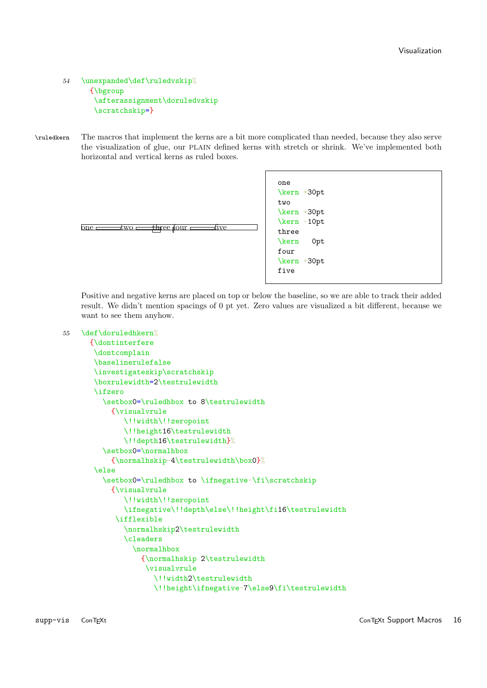```
54 \unexpanded\def\ruledvskip%
      {\bgroup
       \afterassignment\doruledvskip
       \scratchskip=}
```
\ruledkern The macros that implement the kerns are a bit more complicated than needed, because they also serve the visualization of glue, our PLAIN defined kerns with stretch or shrink. We've implemented both horizontal and vertical kerns as ruled boxes.



Positive and negative kerns are placed on top or below the baseline, so we are able to track their added result. We didn't mention spacings of 0 pt yet. Zero values are visualized a bit different, because we want to see them anyhow.

```
55 \def\doruledhkern%
```

```
{\dontinterfere
 \dontcomplain
 \baselinerulefalse
 \investigateskip\scratchskip
 \boxrulewidth=2\testrulewidth
 \ifzero
   \setbox0=\ruledhbox to 8\testrulewidth
     {\visualvrule
        \!!width\!!zeropoint
        \!!height16\testrulewidth
        \!!depth16\testrulewidth}%
   \setbox0=\normalhbox
     {\normalhskip-4\testrulewidth\box0}%
 \else
   \setbox0=\ruledhbox to \ifnegative-\fi\scratchskip
     {\visualvrule
        \!!width\!!zeropoint
        \ifnegative\!!depth\else\!!height\fi16\testrulewidth
      \ifflexible
        \normalhskip2\testrulewidth
        \cleaders
          \normalhbox
            {\normalhskip 2\testrulewidth
             \visualvrule
               \!!width2\testrulewidth
               \!!height\ifnegative-7\else9\fi\testrulewidth
```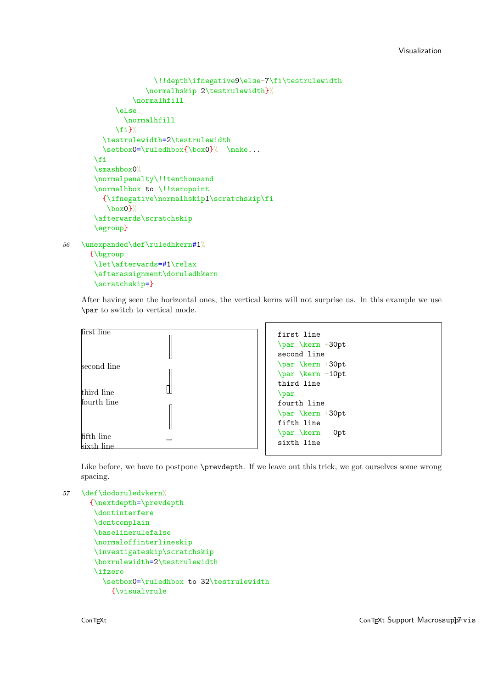```
\!!depth\ifnegative9\else-7\fi\testrulewidth
                   \normalhskip 2\testrulewidth}%
                \normalhfill
             \else
              \normalhfill
             \frac{1}{2}\testrulewidth=2\testrulewidth
         \setbox0=\ruledhbox{\box0}% \make...
       \fi
       \smashbox0%
       \normalpenalty\!!tenthousand
       \normalhbox to \!!zeropoint
         {\ifnegative\normalhskip1\scratchskip\fi
          \box0}%
       \afterwards\scratchskip
       \egroup}
56 \unexpanded\def\ruledhkern#1%
      {\bgroup
       \let\afterwards=#1\relax
       \afterassignment\doruledhkern
```
After having seen the horizontal ones, the vertical kerns will not surprise us. In this example we use \par to switch to vertical mode.

Like before, we have to postpone \prevdepth. If we leave out this trick, we got ourselves some wrong spacing.

```
57 \def\dodoruledvkern%
```
\scratchskip=}

```
{\nextdepth=\prevdepth
 \dontinterfere
 \dontcomplain
 \baselinerulefalse
 \normaloffinterlineskip
 \investigateskip\scratchskip
\boxrulewidth=2\testrulewidth
 \ifzero
   \setbox0=\ruledhbox to 32\testrulewidth
     {\visualvrule
```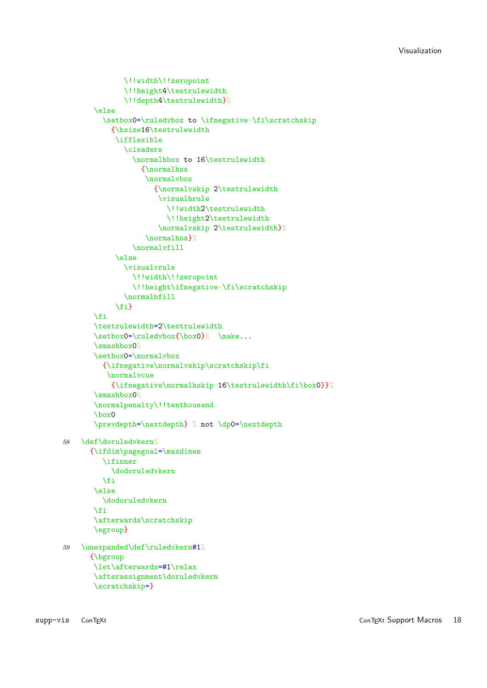```
\!!width\!!zeropoint
              \!!height4\testrulewidth
              \!!depth4\testrulewidth}%
       \else
         \setbox0=\ruledvbox to \ifnegative-\fi\scratchskip
           {\hsize16\testrulewidth
            \ifflexible
               \cleaders
                 \normalhbox to 16\testrulewidth
                   {\normalhss
                    \normalvbox
                      {\normalvskip 2\testrulewidth
                       \visualhrule
                         \!!width2\testrulewidth
                         \!!height2\testrulewidth
                       \normalvskip 2\testrulewidth}%
                    \normalhss}%
                 \normalvfill
            \else
              \visualvrule
                 \!!width\!!zeropoint
                 \!!height\ifnegative-\fi\scratchskip
              \normalhfill
            \fi}
       \fi
       \testrulewidth=2\testrulewidth
       \setminus 0=\rule{vbox}{\boxtimes0} \make...
       \smashbox0%
       \setbox0=\normalvbox
         {\ifnegative\normalvskip\scratchskip\fi
          \normalvcue
           {\ifnegative\normalhskip-16\testrulewidth\fi\box0}}%
       \smashbox0%
       \normalpenalty\!!tenthousand
       \box0
       \prevdepth=\nextdepth} % not \dp0=\nextdepth
58 \def\doruledvkern%
      {\ifdim\pagegoal=\maxdimen
         \ifinner
           \dodoruledvkern
         \chi_{\text{fi}}\else
         \dodoruledvkern
       \fi
       \afterwards\scratchskip
       \egroup}
59 \unexpanded\def\ruledvkern#1%
      {\bgroup
       \let\afterwards=#1\relax
       \afterassignment\doruledvkern
       \scratchskip=}
```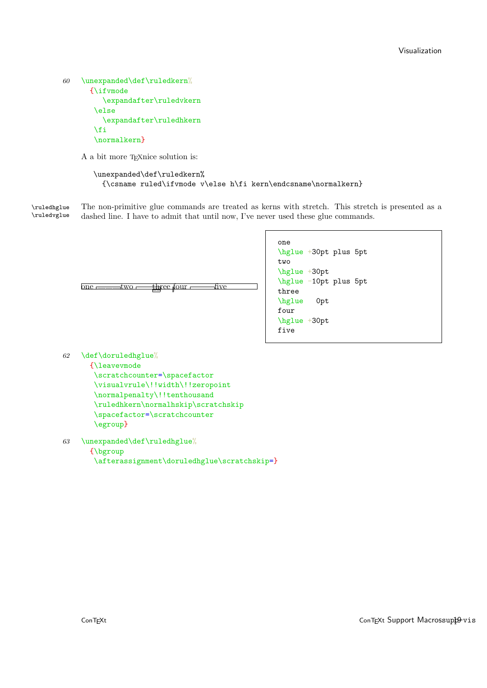```
60 \unexpanded\def\ruledkern%
      {\ifvmode
         \expandafter\ruledvkern
       \else
         \expandafter\ruledhkern
       \fi
       \normalkern}
```
A a bit more T<sub>E</sub>Xnice solution is:

```
\unexpanded\def\ruledkern%
  {\csname ruled\ifvmode v\else h\fi kern\endcsname\normalkern}
```
\ruledhglue The non-primitive glue commands are treated as kerns with stretch. This stretch is presented as a \ruledvglue dashed line. I have to admit that until now, I've never used these glue commands.

```
one
\hglue +30pt plus 5pt
two
\hglue +30pt
\hglue -10pt plus 5pt
three
\hglue 0pt
four
\hglue +30pt
five
```

```
one <del>inv</del>erse four five
```

```
62 \def\doruledhglue%
      {\leavevmode
       \scratchcounter=\spacefactor
       \visualvrule\!!width\!!zeropoint
       \normalpenalty\!!tenthousand
       \ruledhkern\normalhskip\scratchskip
       \spacefactor=\scratchcounter
       \egroup}
```

```
63 \unexpanded\def\ruledhglue%
      {\bgroup
       \afterassignment\doruledhglue\scratchskip=}
```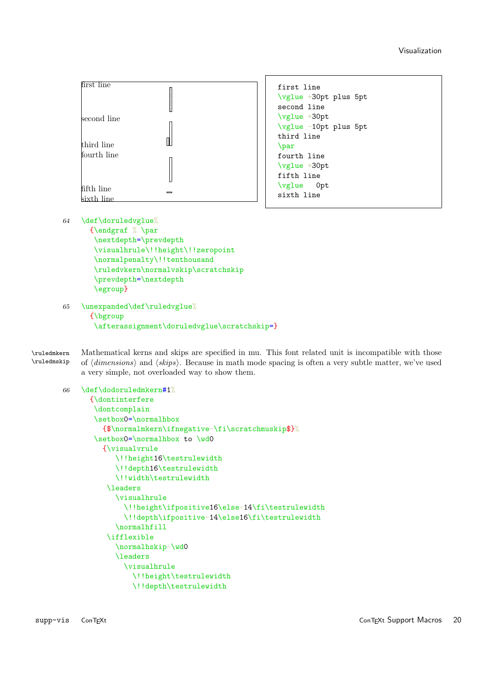Visualization

<span id="page-20-0"></span>

```
first line
\vglue +30pt plus 5pt
second line
\vglue +30pt
\vglue -10pt plus 5pt
third line
\par
fourth line
\vglue +30pt
fifth line
\vglue 0pt
sixth line
```
64 \def\doruledvglue%

```
{\endgraf % \par
\nextdepth=\prevdepth
 \visualhrule\!!height\!!zeropoint
 \normalpenalty\!!tenthousand
 \ruledvkern\normalvskip\scratchskip
 \prevdepth=\nextdepth
 \egroup}
```
65 \unexpanded\def\ruledvglue%

```
{\bgroup
```

```
\afterassignment\doruledvglue\scratchskip=}
```
 $\tau$  Mathematical kerns and skips are specified in mu. This font related unit is incompatible with those<br>  $\tau$ uledmskip of *(dimensions*) and *(skins*). Because in math mode spacing is often a very subtle matter, we've us of  $\langle dimensions\rangle$  and  $\langle skips\rangle$ . Because in math mode spacing is often a very subtle matter, we've used a very simple, not overloaded way to show them.

```
66 \def\dodoruledmkern#1%
      {\dontinterfere
       \dontcomplain
       \setbox0=\normalhbox
         {$\normalmkern\ifnegative-\fi\scratchmuskip$}%
       \setbox0=\normalhbox to \wd0
         {\visualvrule
            \!!height16\testrulewidth
            \!!depth16\testrulewidth
            \!!width\testrulewidth
          \leaders
            \visualhrule
              \!!height\ifpositive16\else-14\fi\testrulewidth
              \!!depth\ifpositive-14\else16\fi\testrulewidth
            \normalhfill
          \ifflexible
            \normalhskip-\wd0
            \leaders
              \visualhrule
                \!!height\testrulewidth
                \!!depth\testrulewidth
```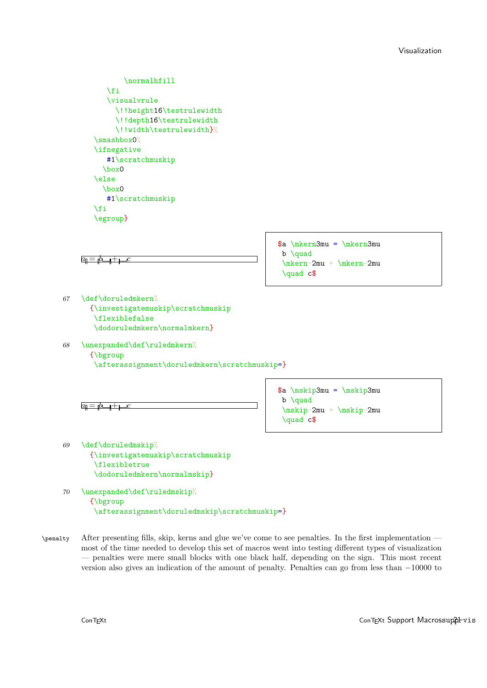<span id="page-21-0"></span>

\afterassignment\doruledmskip\scratchmuskip=}

\penalty After presenting fills, skip, kerns and glue we've come to see penalties. In the first implementation most of the time needed to develop this set of macros went into testing different types of visualization — penalties were mere small blocks with one black half, depending on the sign. This most recent version also gives an indication of the amount of penalty. Penalties can go from less than −10000 to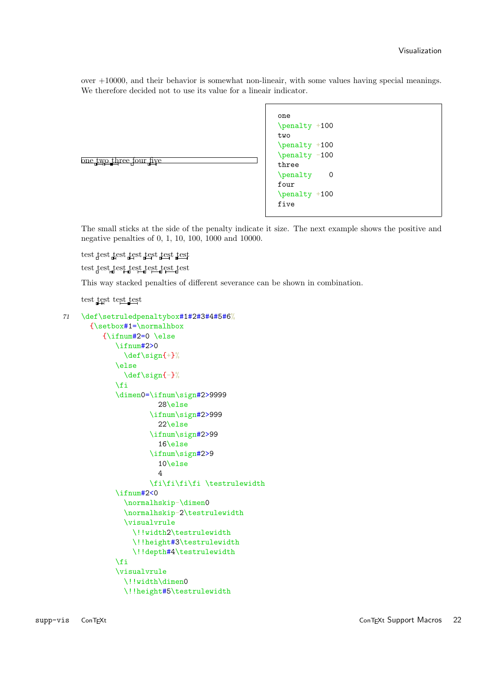over +10000, and their behavior is somewhat non-lineair, with some values having special meanings. We therefore decided not to use its value for a lineair indicator.

| <u>one two three four five</u><br>three<br>\penalty<br>0<br>four<br>\penalty +100<br>five |
|-------------------------------------------------------------------------------------------|
|-------------------------------------------------------------------------------------------|

The small sticks at the side of the penalty indicate it size. The next example shows the positive and negative penalties of 0, 1, 10, 100, 1000 and 10000.

test test test test test test

test test test test test test test

This way stacked penalties of different severance can be shown in combination.

### test test test test

```
71 \def\setruledpenaltybox#1#2#3#4#5#6%
      {\setbox#1=\normalhbox
         {\ifnum#2=0 \else
            \ifnum#2>0
              \def\sign{+}%
            \else
              \def\sign{-}%
            \fi
            \dimen0=\ifnum\sign#2>9999
                      28\else
                    \ifnum\sign#2>999
                      22\else
                    \ifnum\sign#2>99
                       16\else
                    \ifnum\sign#2>9
                      10\else
                      \Delta\fi\fi\fi\fi \testrulewidth
            \ifnum#2<0
              \normalhskip-\dimen0
              \normalhskip-2\testrulewidth
              \visualvrule
                \!!width2\testrulewidth
                \!!height#3\testrulewidth
                \!!depth#4\testrulewidth
            \fi
            \visualvrule
              \!!width\dimen0
              \!!height#5\testrulewidth
```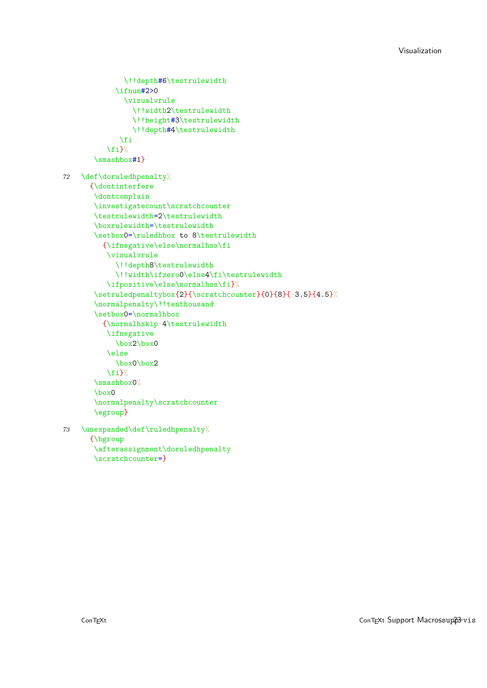```
\!!depth#6\testrulewidth
             \binom{+2}{0}\visualvrule
                 \!!width2\testrulewidth
                 \!!height#3\testrulewidth
                 \!!depth#4\testrulewidth
              \fi
          \left\{ \frac{f}{h} \right\}%
       \smashbox#1}
72 \def\doruledhpenalty%
      {\dontinterfere
       \dontcomplain
       \investigatecount\scratchcounter
       \testrulewidth=2\testrulewidth
       \boxrulewidth=\testrulewidth
       \setbox0=\ruledhbox to 8\testrulewidth
         {\ifnegative\else\normalhss\fi
          \visualvrule
            \!!depth8\testrulewidth
             \!!width\ifzero0\else4\fi\testrulewidth
          \ifpositive\else\normalhss\fi}%
       \verb|\setruledpenaltybox{23}{\texttt{c}{} (0) {8} {-3.5} {4.5}\%\normalpenalty\!!tenthousand
       \setbox0=\normalhbox
         {\normalhskip-4\testrulewidth
          \ifnegative
            \box2\box0
          \else
            \box0\box2
          \fi}%
       \smashbox0%
       \box0
       \normalpenalty\scratchcounter
       \egroup}
73 \unexpanded\def\ruledhpenalty%
      {\bgroup
```
\scratchcounter=}

\afterassignment\doruledhpenalty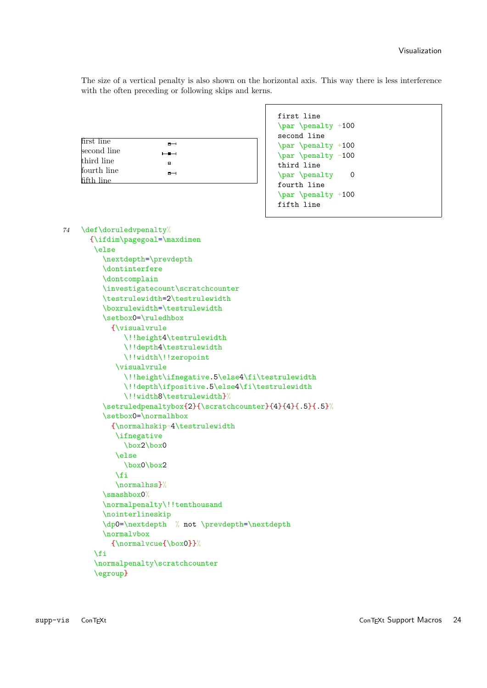The size of a vertical penalty is also shown on the horizontal axis. This way there is less interference with the often preceding or following skips and kerns.

| first line  | $-1$  |  |
|-------------|-------|--|
| second line | $- -$ |  |
| third line  | в     |  |
| fourth line | --    |  |
| fifth line  |       |  |

```
first line
\par \penalty +100
second line
\par \penalty +100
\par \penalty -100
third line
\par \penalty 0
fourth line
\par \penalty +100
fifth line
```

```
74 \def\doruledvpenalty%
      {\ifdim\pagegoal=\maxdimen
       \else
         \nextdepth=\prevdepth
         \dontinterfere
         \dontcomplain
         \investigatecount\scratchcounter
         \testrulewidth=2\testrulewidth
         \boxrulewidth=\testrulewidth
         \setbox0=\ruledhbox
           {\visualvrule
              \!!height4\testrulewidth
              \!!depth4\testrulewidth
              \!!width\!!zeropoint
            \visualvrule
              \!!height\ifnegative.5\else4\fi\testrulewidth
              \!!depth\ifpositive.5\else4\fi\testrulewidth
              \!!width8\testrulewidth}%
         \setruledpenaltybox{2}{\scratchcounter}{4}{4}{.5}{.5}%
         \setbox0=\normalhbox
           {\normalhskip-4\testrulewidth
            \ifnegative
              \box2\box0
            \else
              \box0\box2
            \fi
            \normalhss}%
         \smashbox0%
         \normalpenalty\!!tenthousand
         \nointerlineskip
         \dp0=\nextdepth % not \prevdepth=\nextdepth
         \normalvbox
           {\normalvcue{\box0}}%
       \fi
       \normalpenalty\scratchcounter
       \egroup}
```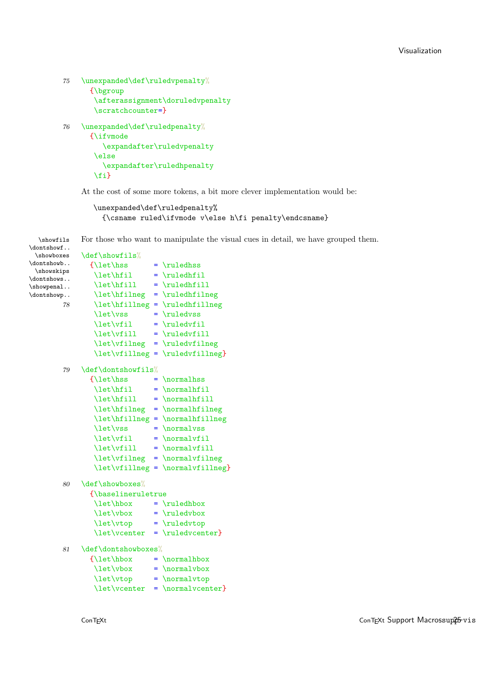```
75 \unexpanded\def\ruledvpenalty\%
      {\bgroup
       \afterassignment\doruledvpenalty
       \scratchcounter=}
76 \unexpanded\def\ruledpenalty%
      {\ifvmode
         \expandafter\ruledvpenalty
       \else
         \expandafter\ruledhpenalty
```
\fi}

At the cost of some more tokens, a bit more clever implementation would be:

```
\unexpanded\def\ruledpenalty%
  {\csname ruled\ifvmode v\else h\fi penalty\endcsname}
```
\showfils For those who want to manipulate the visual cues in detail, we have grouped them.  $\lambda$ dontshowf

| / TMOTIC STION T         |                                     |  |                                                    |  |
|--------------------------|-------------------------------------|--|----------------------------------------------------|--|
| \showboxes<br>\dontshowb | \def\showfils%                      |  |                                                    |  |
| \showskips               | {\let\hss                           |  | $= \ruledhss$                                      |  |
| \dontshows               | \let\hfil                           |  | $= \ruledhfil$                                     |  |
| \showpenal               | \let\hfill                          |  | $= \ruledhfill$                                    |  |
| \dontshowp               | \let\hfilneg                        |  | $= \ruledhfilneg$                                  |  |
| 78                       | \let\hfillneg                       |  | $= \ruledhfillneg$                                 |  |
|                          | \let\vss                            |  | $= \ruledvss$                                      |  |
|                          | \let\vfil                           |  | $= \ruledrfil$                                     |  |
|                          | \let\vfill                          |  | $= \ruledrfill$                                    |  |
|                          | \let\vfilneg                        |  | $= \ruledvfilneg$                                  |  |
|                          |                                     |  | \let\vfillneg = \ruledvfillneg}                    |  |
| 79                       | \def\dontshowfils%                  |  |                                                    |  |
|                          | $\{\let\hspace{0.03cm}\text{hss}\}$ |  | $= \normal{\normalfont\textsf{normalhss}}$         |  |
|                          | \let\hfil                           |  | $= \mathrm{normalhfil}$                            |  |
|                          | \let\hfill                          |  | $= \normal{\normalfont\textsf{ill}}$               |  |
|                          | \let\hfilneg                        |  |                                                    |  |
|                          | \let\hfillneg                       |  |                                                    |  |
|                          | \let\vss                            |  | $= \normal{\normalsize \text{max}$                 |  |
|                          | \let\vfil                           |  | $= \normal{\normalfont\texttt{nil}}$               |  |
|                          | \let\vfill                          |  | $= \normal{\normalfont \normalfont \normalcirc\ }$ |  |
|                          | \let\vfilneg                        |  | $= \overline{\text{normalufilinear}}$              |  |
|                          |                                     |  | \let\vfillneg = \normalvfillneg}                   |  |
| 80                       | \def\showboxes%                     |  |                                                    |  |
|                          | {\baselineruletrue                  |  |                                                    |  |
|                          | \let\hbox                           |  | $= \ruledhbox$                                     |  |
|                          | \let\vbox                           |  | $= \ruledvbox$                                     |  |
|                          | \let\vtop                           |  | $= \ruledtop$                                      |  |
|                          | \let\vcenter                        |  | $= \ruledvcenter]$                                 |  |
| 81                       | \def\dontshowboxes%                 |  |                                                    |  |
|                          | $\{\left\hbox{\hbox{hbox}}\right.$  |  | $= \mathrm{normalhbox}$                            |  |
|                          | \let\vbox                           |  | $= \mathrm{normalvbox}$                            |  |
|                          | \let\vtop                           |  | $= \normal{\normalfont \texttt{normal} \atop }$    |  |
|                          | \let\vcenter                        |  | $= \overline{\text{normal}}$                       |  |
|                          |                                     |  |                                                    |  |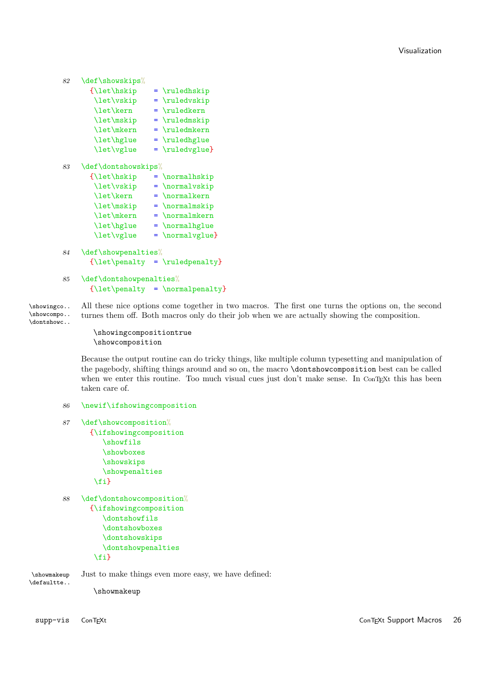```
82 \def\showskips%
```

| {\let\hskip | $= \ruledhskip$ |
|-------------|-----------------|
| \let\vskip  | $= \ruledvskip$ |
| \let\kern   |                 |
| \let\mskip  | $= \ruledmskip$ |
| \let\mkern  | $= \ruledmkern$ |
| \let\hglue  | $= \ruledhglue$ |
| \let\vglue  | $= \ruledvglue$ |
|             |                 |

83 \def\dontshowskips%

| {\let\hskip |                                              |
|-------------|----------------------------------------------|
| \let\vskip  | $= \normal{\normalsize\}$                    |
| \let\kern   | $= \normal{\normalfont \texttt{normalkern}}$ |
| \let\mskip  | $= \normal{\normalsize \text{maxkip}}$       |
| \let\mkern  | $= \normal{\normalsize \text{normalmkern}}$  |
| \let\hglue  |                                              |
| \let\vglue  | $= \overline{\varphi}$                       |

84 \def\showpenalties%  ${\left\langle \mathbf{y} \right\rangle = \left\{\mathbf{y}\right\}$ 

```
85 \def\dontshowpenalties%
      {\left\{\right\}} = \normalpenalty}
```
\showingco.. All these nice options come together in two macros. The first one turns the options on, the second \showcompo.. turnes them off. Both macros only do their job when we are actually showing the composition.

```
\dontshowc..
```
\showingcompositiontrue \showcomposition

Because the output routine can do tricky things, like multiple column typesetting and manipulation of the pagebody, shifting things around and so on, the macro \dontshowcomposition best can be called when we enter this routine. Too much visual cues just don't make sense. In ConTEXt this has been taken care of.

```
86 \newif\ifshowingcomposition
```

```
87 \def\showcomposition%
      {\ifshowingcomposition
         \showfils
         \showboxes
         \showskips
         \showpenalties
       \fi}
```

```
88 \def\dontshowcomposition%
      {\ifshowingcomposition
         \dontshowfils
         \dontshowboxes
         \dontshowskips
         \dontshowpenalties
       \fi}
```
\showmakeup Just to make things even more easy, we have defined: \defaultte..

\showmakeup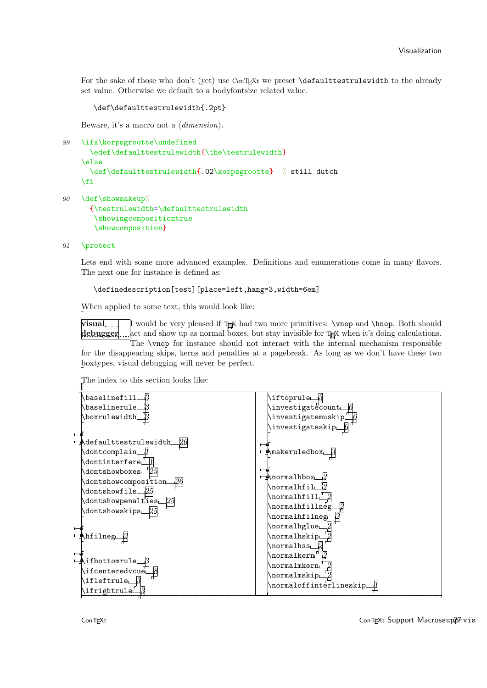For the sake of those who don't (yet) use ConTEXt we preset **\defaulttestrulewidth** to the already set value. Otherwise we default to a bodyfontsize related value.

\def\defaulttestrulewidth{.2pt}

Beware, it's a macro not a  $\langle dimension \rangle$ .

```
89 \ifx\korpsgrootte\undefined
```

```
\edef\defaulttestrulewidth{\the\testrulewidth}
\else
  \def\defaulttestrulewidth{.02\korpsgrootte} % still dutch
\fi
```
90 \def\showmakeup%

```
{\testrulewidth=\defaulttestrulewidth
 \showingcompositiontrue
 \showcomposition}
```
91 \protect

Lets end with some more advanced examples. Definitions and enumerations come in many flavors. The next one for instance is defined as:

\definedescription[test][place=left,hang=3,width=6em]

When applied to some text, this would look like:

visual debugger I would be very pleased if TEX had two more primitives: \vnop and \hnop. Both should act and show up as normal boxes, but stay invisible for TEX when it's doing calculations. The \vnop for instance should not interact with the internal mechanism responsible

for the disappearing skips, kerns and penalties at a pagebreak. As long as we don't have these two boxtypes, visual debugging will never be perfect.

The index to this section looks like:



ConTEXt Support Macrossupp7-vis 27 ConTEXt Support Macrossupp7-vis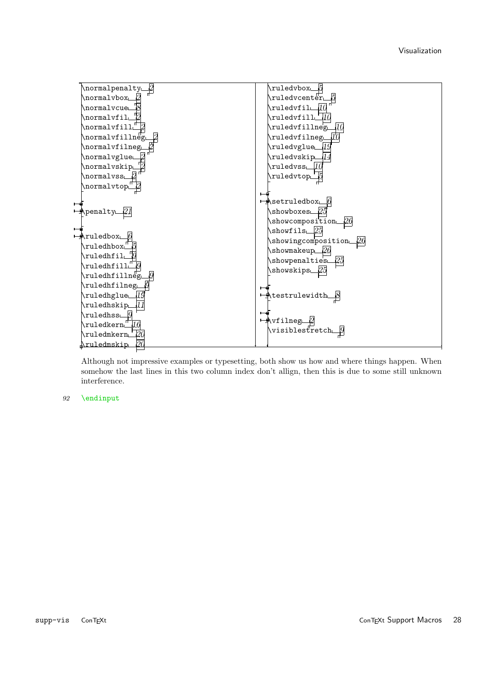

Although not impressive examples or typesetting, both show us how and where things happen. When somehow the last lines in this two column index don't allign, then this is due to some still unknown interference.

#### 92 \endinput